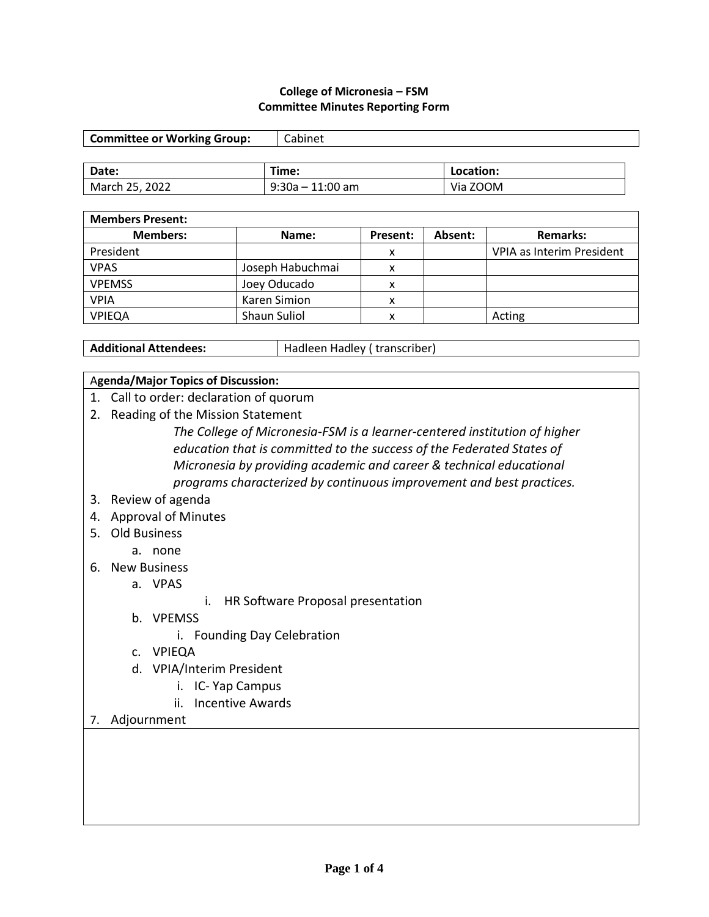#### **College of Micronesia – FSM Committee Minutes Reporting Form**

| <b>Committee or Working Group:</b> | Cabinet          |           |
|------------------------------------|------------------|-----------|
|                                    |                  |           |
| Date:                              | Time:            | Location: |
| March 25, 2022                     | 9:30a - 11:00 am | Via ZOOM  |

| <b>Members Present:</b> |                     |          |         |                           |
|-------------------------|---------------------|----------|---------|---------------------------|
| <b>Members:</b>         | Name:               | Present: | Absent: | <b>Remarks:</b>           |
| President               |                     | x        |         | VPIA as Interim President |
| <b>VPAS</b>             | Joseph Habuchmai    | x        |         |                           |
| <b>VPEMSS</b>           | Joey Oducado        | x        |         |                           |
| <b>VPIA</b>             | Karen Simion        | x        |         |                           |
| VPIEQA                  | <b>Shaun Suliol</b> | ⋏        |         | Acting                    |

Additional Attendees: **Hadleen Hadley** (transcriber)

## A**genda/Major Topics of Discussion:**

- 1. Call to order: declaration of quorum
- 2. Reading of the Mission Statement

*The College of Micronesia-FSM is a learner-centered institution of higher education that is committed to the success of the Federated States of Micronesia by providing academic and career & technical educational programs characterized by continuous improvement and best practices.*

## 3. Review of agenda

- 4. Approval of Minutes
- 5. Old Business
	- a. none
- 6. New Business

a. VPAS

- i. HR Software Proposal presentation
- b. VPEMSS
	- i. Founding Day Celebration
- c. VPIEQA
- d. VPIA/Interim President
	- i. IC- Yap Campus
	- ii. Incentive Awards
- 7. Adjournment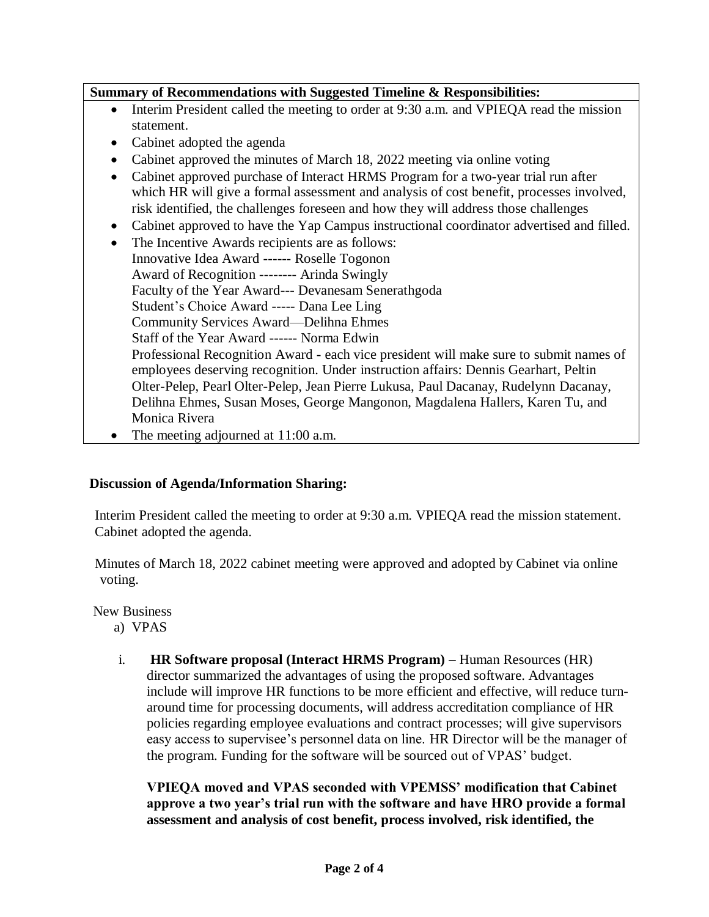**Summary of Recommendations with Suggested Timeline & Responsibilities:**

- Interim President called the meeting to order at 9:30 a.m. and VPIEQA read the mission statement.
- Cabinet adopted the agenda
- Cabinet approved the minutes of March 18, 2022 meeting via online voting
- Cabinet approved purchase of Interact HRMS Program for a two-year trial run after which HR will give a formal assessment and analysis of cost benefit, processes involved, risk identified, the challenges foreseen and how they will address those challenges
- Cabinet approved to have the Yap Campus instructional coordinator advertised and filled.
- The Incentive Awards recipients are as follows: Innovative Idea Award ------ Roselle Togonon Award of Recognition -------- Arinda Swingly Faculty of the Year Award--- Devanesam Senerathgoda Student's Choice Award ----- Dana Lee Ling Community Services Award—Delihna Ehmes Staff of the Year Award ------ Norma Edwin Professional Recognition Award - each vice president will make sure to submit names of employees deserving recognition. Under instruction affairs: Dennis Gearhart, Peltin Olter-Pelep, Pearl Olter-Pelep, Jean Pierre Lukusa, Paul Dacanay, Rudelynn Dacanay, Delihna Ehmes, Susan Moses, George Mangonon, Magdalena Hallers, Karen Tu, and Monica Rivera
	- The meeting adjourned at 11:00 a.m.

# **Discussion of Agenda/Information Sharing:**

Interim President called the meeting to order at 9:30 a.m. VPIEQA read the mission statement. Cabinet adopted the agenda.

Minutes of March 18, 2022 cabinet meeting were approved and adopted by Cabinet via online voting.

New Business

- a) VPAS
- i. **HR Software proposal (Interact HRMS Program)** Human Resources (HR) director summarized the advantages of using the proposed software. Advantages include will improve HR functions to be more efficient and effective, will reduce turnaround time for processing documents, will address accreditation compliance of HR policies regarding employee evaluations and contract processes; will give supervisors easy access to supervisee's personnel data on line. HR Director will be the manager of the program. Funding for the software will be sourced out of VPAS' budget.

**VPIEQA moved and VPAS seconded with VPEMSS' modification that Cabinet approve a two year's trial run with the software and have HRO provide a formal assessment and analysis of cost benefit, process involved, risk identified, the**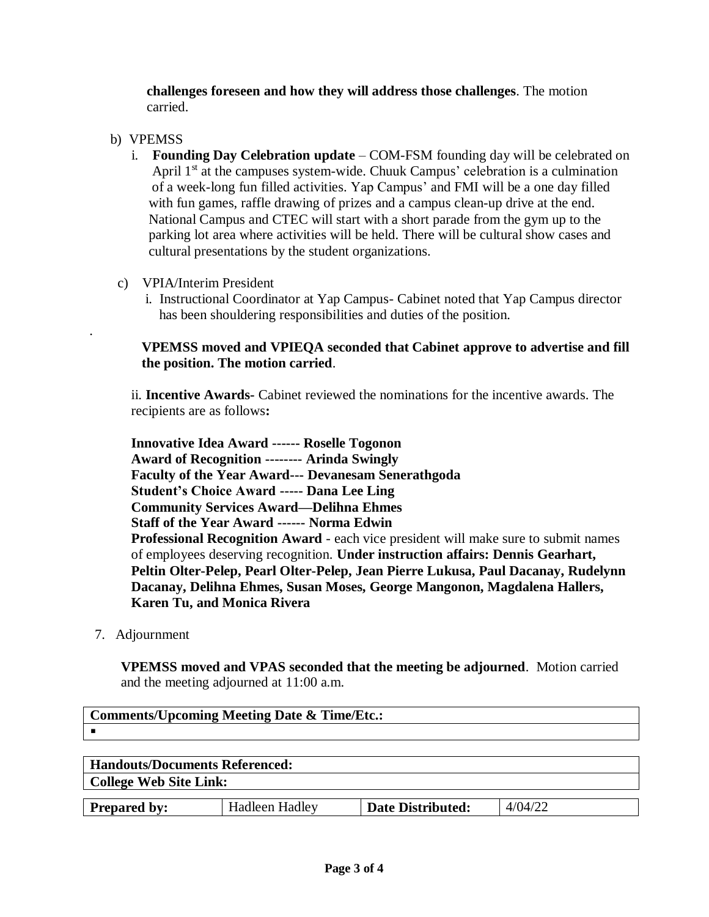**challenges foreseen and how they will address those challenges**. The motion carried.

## b) VPEMSS

.

- i. **Founding Day Celebration update** COM-FSM founding day will be celebrated on April  $1<sup>st</sup>$  at the campuses system-wide. Chuuk Campus' celebration is a culmination of a week-long fun filled activities. Yap Campus' and FMI will be a one day filled with fun games, raffle drawing of prizes and a campus clean-up drive at the end. National Campus and CTEC will start with a short parade from the gym up to the parking lot area where activities will be held. There will be cultural show cases and cultural presentations by the student organizations.
- c) VPIA/Interim President
	- i. Instructional Coordinator at Yap Campus- Cabinet noted that Yap Campus director has been shouldering responsibilities and duties of the position.

## **VPEMSS moved and VPIEQA seconded that Cabinet approve to advertise and fill the position. The motion carried**.

ii. **Incentive Awards-** Cabinet reviewed the nominations for the incentive awards. The recipients are as follows**:**

**Innovative Idea Award ------ Roselle Togonon Award of Recognition -------- Arinda Swingly Faculty of the Year Award--- Devanesam Senerathgoda Student's Choice Award ----- Dana Lee Ling Community Services Award—Delihna Ehmes Staff of the Year Award ------ Norma Edwin Professional Recognition Award** - each vice president will make sure to submit names of employees deserving recognition. **Under instruction affairs: Dennis Gearhart, Peltin Olter-Pelep, Pearl Olter-Pelep, Jean Pierre Lukusa, Paul Dacanay, Rudelynn Dacanay, Delihna Ehmes, Susan Moses, George Mangonon, Magdalena Hallers, Karen Tu, and Monica Rivera**

7. Adjournment

**Comments/Upcoming Meeting Date & Time/Etc.:**

 **VPEMSS moved and VPAS seconded that the meeting be adjourned**. Motion carried and the meeting adjourned at 11:00 a.m.

| <b>Handouts/Documents Referenced:</b> |                       |                          |         |  |
|---------------------------------------|-----------------------|--------------------------|---------|--|
| <b>College Web Site Link:</b>         |                       |                          |         |  |
|                                       |                       |                          |         |  |
| <b>Prepared by:</b>                   | <b>Hadleen Hadley</b> | <b>Date Distributed:</b> | 4/04/22 |  |